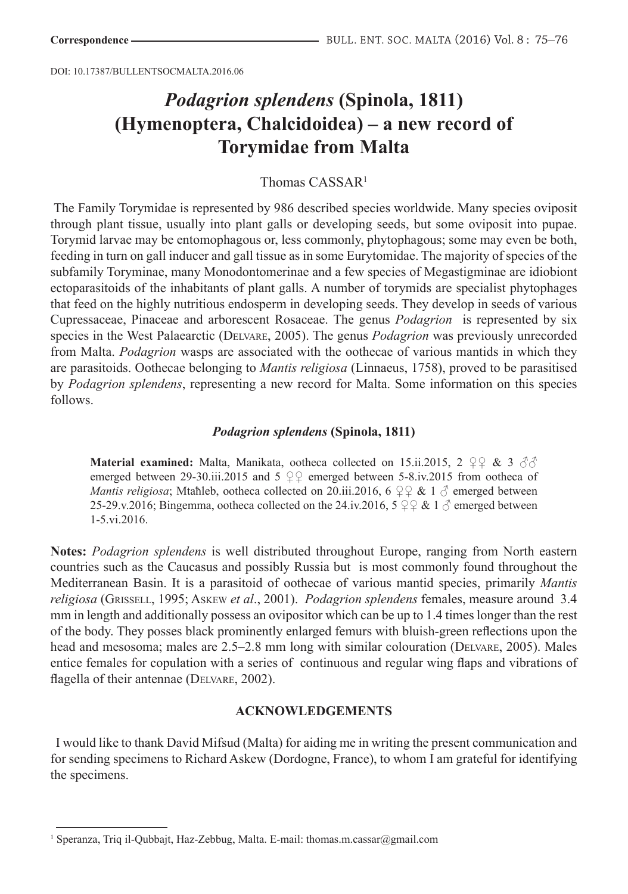DOI: 10.17387/BULLENTSOCMALTA.2016.06

# *Podagrion splendens* **(Spinola, 1811) (Hymenoptera, Chalcidoidea) – a new record of Torymidae from Malta**

# Thomas CASSAR<sup>1</sup>

The Family Torymidae is represented by 986 described species worldwide. Many species oviposit through plant tissue, usually into plant galls or developing seeds, but some oviposit into pupae. Torymid larvae may be entomophagous or, less commonly, phytophagous; some may even be both, feeding in turn on gall inducer and gall tissue as in some Eurytomidae. The majority of species of the subfamily Toryminae, many Monodontomerinae and a few species of Megastigminae are idiobiont ectoparasitoids of the inhabitants of plant galls. A number of torymids are specialist phytophages that feed on the highly nutritious endosperm in developing seeds. They develop in seeds of various Cupressaceae, Pinaceae and arborescent Rosaceae. The genus *Podagrion* is represented by six species in the West Palaearctic (Delvare, 2005). The genus *Podagrion* was previously unrecorded from Malta. *Podagrion* wasps are associated with the oothecae of various mantids in which they are parasitoids. Oothecae belonging to *Mantis religiosa* (Linnaeus, 1758), proved to be parasitised by *Podagrion splendens*, representing a new record for Malta. Some information on this species follows.

### *Podagrion splendens* **(Spinola, 1811)**

**Material examined:** Malta, Manikata, ootheca collected on 15.ii.2015, 2 ♀♀ & 3 ♂ emerged between 29-30.iii.2015 and 5  $\mathcal{Q} \mathcal{Q}$  emerged between 5-8.iv.2015 from ootheca of *Mantis religiosa*; Mtaħleb, ootheca collected on 20.iii.2016, 6  $\varphi \varphi \& 1 \varphi$  emerged between 25-29.v.2016; Bingemma, ootheca collected on the 24.iv.2016,  $5 \nsubseteq \& 1 \nsubseteq$  emerged between 1-5.vi.2016.

**Notes:** *Podagrion splendens* is well distributed throughout Europe, ranging from North eastern countries such as the Caucasus and possibly Russia but is most commonly found throughout the Mediterranean Basin. It is a parasitoid of oothecae of various mantid species, primarily *Mantis religiosa* (Grissell, 1995; Askew *et al*., 2001). *Podagrion splendens* females, measure around 3.4 mm in length and additionally possess an ovipositor which can be up to 1.4 times longer than the rest of the body. They posses black prominently enlarged femurs with bluish-green reflections upon the head and mesosoma; males are 2.5–2.8 mm long with similar colouration (Delvare, 2005). Males entice females for copulation with a series of continuous and regular wing flaps and vibrations of flagella of their antennae (DELVARE, 2002).

# **ACKNOWLEDGEMENTS**

 I would like to thank David Mifsud (Malta) for aiding me in writing the present communication and for sending specimens to Richard Askew (Dordogne, France), to whom I am grateful for identifying the specimens.

<sup>&</sup>lt;sup>1</sup> Speranza, Triq il-Qubbajt, Haz-Zebbug, Malta. E-mail: thomas.m.cassar@gmail.com